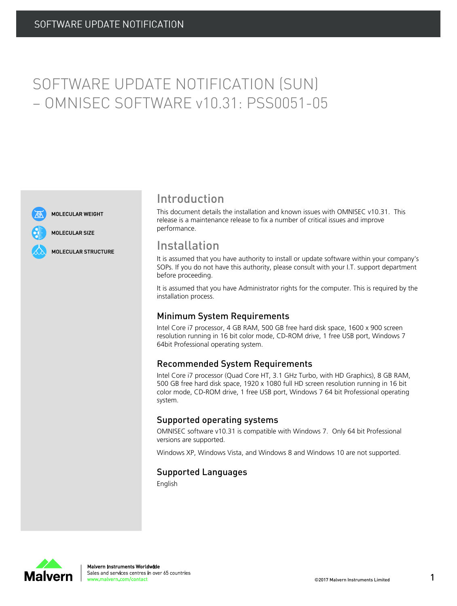# SOFTWARE UPDATE NOTIFICATION (SUN) – OMNISEC SOFTWARE v10.31: PSS0051-05



MOLECULAR SIZE

**MOLECULAR WEIGHT** 

**MOLECULAR STRUCTURE** 

## Introduction

This document details the installation and known issues with OMNISEC v10.31. This release is a maintenance release to fix a number of critical issues and improve performance.

### Installation

It is assumed that you have authority to install or update software within your company's SOPs. If you do not have this authority, please consult with your I.T. support department before proceeding.

It is assumed that you have Administrator rights for the computer. This is required by the installation process.

#### Minimum System Requirements

Intel Core i7 processor, 4 GB RAM, 500 GB free hard disk space, 1600 x 900 screen resolution running in 16 bit color mode, CD-ROM drive, 1 free USB port, Windows 7 64bit Professional operating system.

#### Recommended System Requirements

Intel Core i7 processor (Quad Core HT, 3.1 GHz Turbo, with HD Graphics), 8 GB RAM, 500 GB free hard disk space, 1920 x 1080 full HD screen resolution running in 16 bit color mode, CD-ROM drive, 1 free USB port, Windows 7 64 bit Professional operating system.

#### Supported operating systems

OMNISEC software v10.31 is compatible with Windows 7. Only 64 bit Professional versions are supported.

Windows XP, Windows Vista, and Windows 8 and Windows 10 are not supported.

#### Supported Languages

English

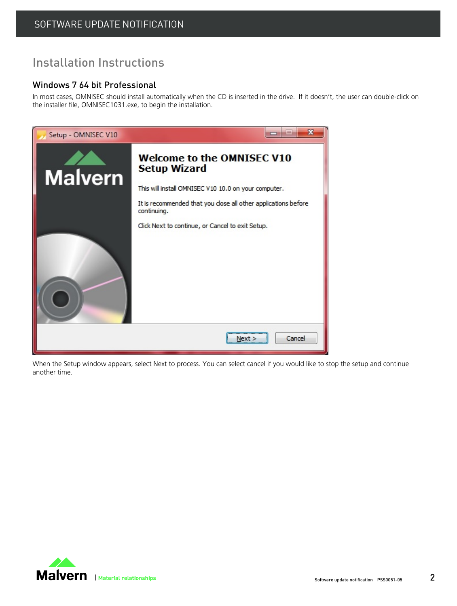## Installation Instructions

#### Windows 7 64 bit Professional

In most cases, OMNISEC should install automatically when the CD is inserted in the drive. If it doesn't, the user can double-click on the installer file, OMNISEC1031.exe, to begin the installation.



When the Setup window appears, select Next to process. You can select cancel if you would like to stop the setup and continue another time.

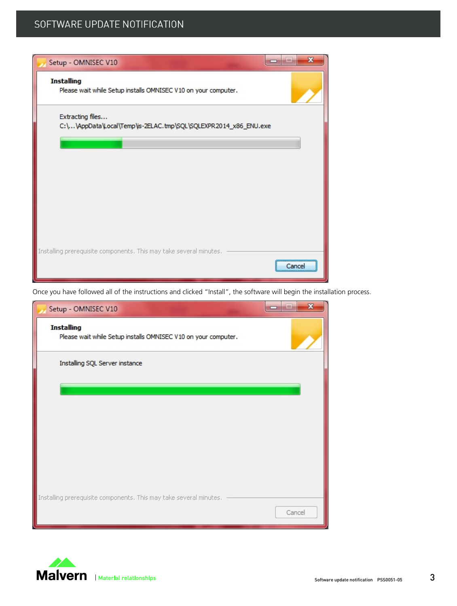

Once you have followed all of the instructions and clicked "Install", the software will begin the installation process.



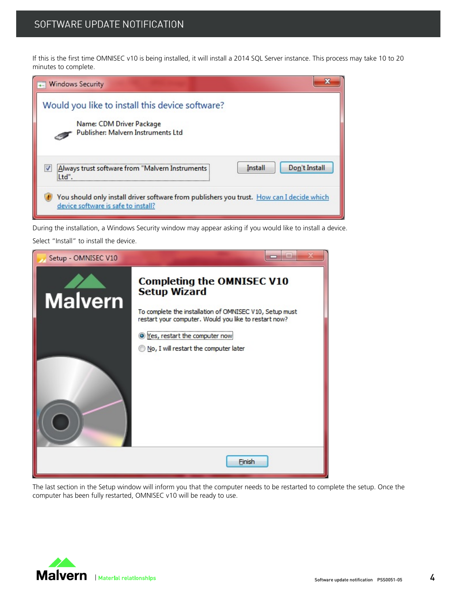If this is the first time OMNISEC v10 is being installed, it will install a 2014 SQL Server instance. This process may take 10 to 20 minutes to complete.

| <b>Windows Security</b>                                                                                                          |  |  |
|----------------------------------------------------------------------------------------------------------------------------------|--|--|
| Would you like to install this device software?<br>Name: CDM Driver Package<br>Publisher: Malvern Instruments Ltd                |  |  |
| Don't Install<br>Install<br>Always trust software from "Malvern Instruments<br>H                                                 |  |  |
| You should only install driver software from publishers you trust. How can I decide which<br>device software is safe to install? |  |  |

During the installation, a Windows Security window may appear asking if you would like to install a device.

Select "Install" to install the device.



The last section in the Setup window will inform you that the computer needs to be restarted to complete the setup. Once the computer has been fully restarted, OMNISEC v10 will be ready to use.

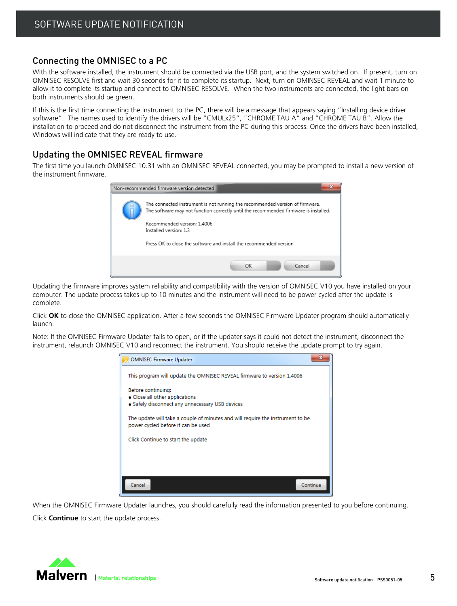#### Connecting the OMNISEC to a PC

With the software installed, the instrument should be connected via the USB port, and the system switched on. If present, turn on OMNISEC RESOLVE first and wait 30 seconds for it to complete its startup. Next, turn on OMINSEC REVEAL and wait 1 minute to allow it to complete its startup and connect to OMNISEC RESOLVE. When the two instruments are connected, the light bars on both instruments should be green.

If this is the first time connecting the instrument to the PC, there will be a message that appears saying "Installing device driver software". The names used to identify the drivers will be "CMULx25", "CHROME TAU A" and "CHROME TAU B". Allow the installation to proceed and do not disconnect the instrument from the PC during this process. Once the drivers have been installed, Windows will indicate that they are ready to use.

#### Updating the OMNISEC REVEAL firmware

The first time you launch OMNISEC 10.31 with an OMNISEC REVEAL connected, you may be prompted to install a new version of the instrument firmware.



Updating the firmware improves system reliability and compatibility with the version of OMNISEC V10 you have installed on your computer. The update process takes up to 10 minutes and the instrument will need to be power cycled after the update is complete.

Click **OK** to close the OMNISEC application. After a few seconds the OMNISEC Firmware Updater program should automatically launch.

Note: If the OMNISEC Firmware Updater fails to open, or if the updater says it could not detect the instrument, disconnect the instrument, relaunch OMNISEC V10 and reconnect the instrument. You should receive the update prompt to try again.



When the OMNISEC Firmware Updater launches, you should carefully read the information presented to you before continuing. Click **Continue** to start the update process.

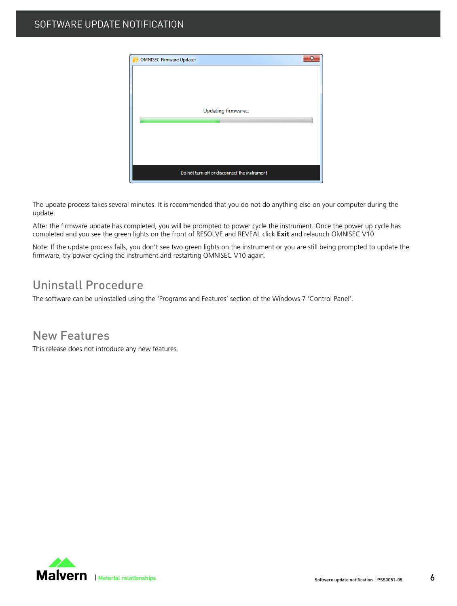| <b>OMNISEC Firmware Updater</b>              | х |
|----------------------------------------------|---|
|                                              |   |
|                                              |   |
|                                              |   |
| Updating firmware                            |   |
|                                              |   |
|                                              |   |
|                                              |   |
|                                              |   |
|                                              |   |
| Do not turn off or disconnect the instrument |   |

The update process takes several minutes. It is recommended that you do not do anything else on your computer during the update.

After the firmware update has completed, you will be prompted to power cycle the instrument. Once the power up cycle has completed and you see the green lights on the front of RESOLVE and REVEAL click **Exit** and relaunch OMNISEC V10.

Note: If the update process fails, you don't see two green lights on the instrument or you are still being prompted to update the firmware, try power cycling the instrument and restarting OMNISEC V10 again.

## Uninstall Procedure

The software can be uninstalled using the 'Programs and Features' section of the Windows 7 'Control Panel'.

New Features

This release does not introduce any new features.

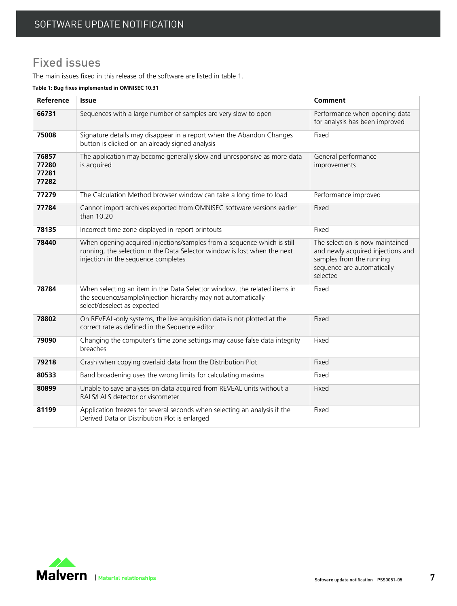## Fixed issues

The main issues fixed in this release of the software are listed in table 1.

**Table 1: Bug fixes implemented in OMNISEC 10.31**

| Reference                        | Issue                                                                                                                                                                                      | Comment                                                                                                                                    |
|----------------------------------|--------------------------------------------------------------------------------------------------------------------------------------------------------------------------------------------|--------------------------------------------------------------------------------------------------------------------------------------------|
| 66731                            | Sequences with a large number of samples are very slow to open                                                                                                                             | Performance when opening data<br>for analysis has been improved                                                                            |
| 75008                            | Signature details may disappear in a report when the Abandon Changes<br>button is clicked on an already signed analysis                                                                    | Fixed                                                                                                                                      |
| 76857<br>77280<br>77281<br>77282 | The application may become generally slow and unresponsive as more data<br>is acquired                                                                                                     | General performance<br>improvements                                                                                                        |
| 77279                            | The Calculation Method browser window can take a long time to load                                                                                                                         | Performance improved                                                                                                                       |
| 77784                            | Cannot import archives exported from OMNISEC software versions earlier<br>than 10.20                                                                                                       | Fixed                                                                                                                                      |
| 78135                            | Incorrect time zone displayed in report printouts                                                                                                                                          | Fixed                                                                                                                                      |
| 78440                            | When opening acquired injections/samples from a sequence which is still<br>running, the selection in the Data Selector window is lost when the next<br>injection in the sequence completes | The selection is now maintained<br>and newly acquired injections and<br>samples from the running<br>sequence are automatically<br>selected |
| 78784                            | When selecting an item in the Data Selector window, the related items in<br>the sequence/sample/injection hierarchy may not automatically<br>select/deselect as expected                   | Fixed                                                                                                                                      |
| 78802                            | On REVEAL-only systems, the live acquisition data is not plotted at the<br>correct rate as defined in the Sequence editor                                                                  | Fixed                                                                                                                                      |
| 79090                            | Changing the computer's time zone settings may cause false data integrity<br>breaches                                                                                                      | Fixed                                                                                                                                      |
| 79218                            | Crash when copying overlaid data from the Distribution Plot                                                                                                                                | Fixed                                                                                                                                      |
| 80533                            | Band broadening uses the wrong limits for calculating maxima                                                                                                                               | Fixed                                                                                                                                      |
| 80899                            | Unable to save analyses on data acquired from REVEAL units without a<br>RALS/LALS detector or viscometer                                                                                   | Fixed                                                                                                                                      |
| 81199                            | Application freezes for several seconds when selecting an analysis if the<br>Derived Data or Distribution Plot is enlarged                                                                 | Fixed                                                                                                                                      |

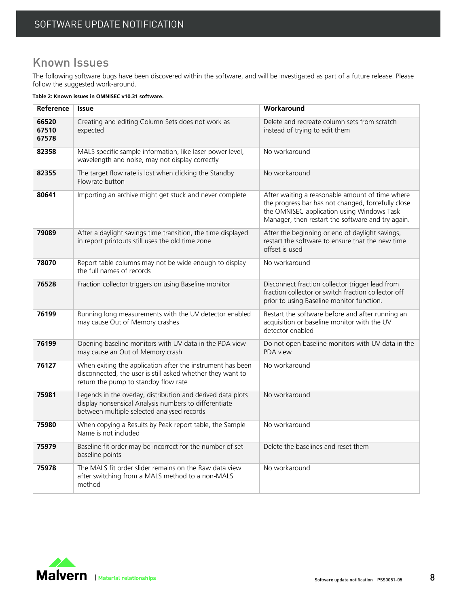## Known Issues

The following software bugs have been discovered within the software, and will be investigated as part of a future release. Please follow the suggested work-around.

**Table 2: Known issues in OMNISEC v10.31 software.**

| Reference               | <b>Issue</b>                                                                                                                                                       | Workaround                                                                                                                                                                                               |
|-------------------------|--------------------------------------------------------------------------------------------------------------------------------------------------------------------|----------------------------------------------------------------------------------------------------------------------------------------------------------------------------------------------------------|
| 66520<br>67510<br>67578 | Creating and editing Column Sets does not work as<br>expected                                                                                                      | Delete and recreate column sets from scratch<br>instead of trying to edit them                                                                                                                           |
| 82358                   | MALS specific sample information, like laser power level,<br>wavelength and noise, may not display correctly                                                       | No workaround                                                                                                                                                                                            |
| 82355                   | The target flow rate is lost when clicking the Standby<br>Flowrate button                                                                                          | No workaround                                                                                                                                                                                            |
| 80641                   | Importing an archive might get stuck and never complete                                                                                                            | After waiting a reasonable amount of time where<br>the progress bar has not changed, forcefully close<br>the OMNISEC application using Windows Task<br>Manager, then restart the software and try again. |
| 79089                   | After a daylight savings time transition, the time displayed<br>in report printouts still uses the old time zone                                                   | After the beginning or end of daylight savings,<br>restart the software to ensure that the new time<br>offset is used                                                                                    |
| 78070                   | Report table columns may not be wide enough to display<br>the full names of records                                                                                | No workaround                                                                                                                                                                                            |
| 76528                   | Fraction collector triggers on using Baseline monitor                                                                                                              | Disconnect fraction collector trigger lead from<br>fraction collector or switch fraction collector off<br>prior to using Baseline monitor function.                                                      |
| 76199                   | Running long measurements with the UV detector enabled<br>may cause Out of Memory crashes                                                                          | Restart the software before and after running an<br>acquisition or baseline monitor with the UV<br>detector enabled                                                                                      |
| 76199                   | Opening baseline monitors with UV data in the PDA view<br>may cause an Out of Memory crash                                                                         | Do not open baseline monitors with UV data in the<br>PDA view                                                                                                                                            |
| 76127                   | When exiting the application after the instrument has been<br>disconnected, the user is still asked whether they want to<br>return the pump to standby flow rate   | No workaround                                                                                                                                                                                            |
| 75981                   | Legends in the overlay, distribution and derived data plots<br>display nonsensical Analysis numbers to differentiate<br>between multiple selected analysed records | No workaround                                                                                                                                                                                            |
| 75980                   | When copying a Results by Peak report table, the Sample<br>Name is not included                                                                                    | No workaround                                                                                                                                                                                            |
| 75979                   | Baseline fit order may be incorrect for the number of set<br>baseline points                                                                                       | Delete the baselines and reset them                                                                                                                                                                      |
| 75978                   | The MALS fit order slider remains on the Raw data view<br>after switching from a MALS method to a non-MALS<br>method                                               | No workaround                                                                                                                                                                                            |

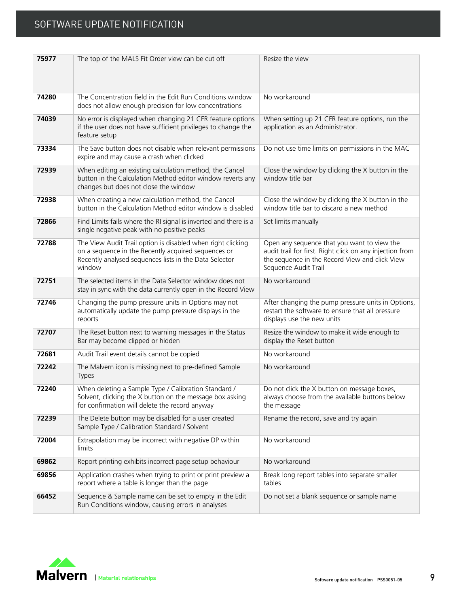| 75977 | The top of the MALS Fit Order view can be cut off                                                                                                                                      | Resize the view                                                                                                                                                                   |
|-------|----------------------------------------------------------------------------------------------------------------------------------------------------------------------------------------|-----------------------------------------------------------------------------------------------------------------------------------------------------------------------------------|
| 74280 | The Concentration field in the Edit Run Conditions window<br>does not allow enough precision for low concentrations                                                                    | No workaround                                                                                                                                                                     |
| 74039 | No error is displayed when changing 21 CFR feature options<br>if the user does not have sufficient privileges to change the<br>feature setup                                           | When setting up 21 CFR feature options, run the<br>application as an Administrator.                                                                                               |
| 73334 | The Save button does not disable when relevant permissions<br>expire and may cause a crash when clicked                                                                                | Do not use time limits on permissions in the MAC                                                                                                                                  |
| 72939 | When editing an existing calculation method, the Cancel<br>button in the Calculation Method editor window reverts any<br>changes but does not close the window                         | Close the window by clicking the X button in the<br>window title bar                                                                                                              |
| 72938 | When creating a new calculation method, the Cancel<br>button in the Calculation Method editor window is disabled                                                                       | Close the window by clicking the X button in the<br>window title bar to discard a new method                                                                                      |
| 72866 | Find Limits fails where the RI signal is inverted and there is a<br>single negative peak with no positive peaks                                                                        | Set limits manually                                                                                                                                                               |
| 72788 | The View Audit Trail option is disabled when right clicking<br>on a sequence in the Recently acquired sequences or<br>Recently analysed sequences lists in the Data Selector<br>window | Open any sequence that you want to view the<br>audit trail for first. Right click on any injection from<br>the sequence in the Record View and click View<br>Sequence Audit Trail |
| 72751 | The selected items in the Data Selector window does not<br>stay in sync with the data currently open in the Record View                                                                | No workaround                                                                                                                                                                     |
| 72746 | Changing the pump pressure units in Options may not<br>automatically update the pump pressure displays in the<br>reports                                                               | After changing the pump pressure units in Options,<br>restart the software to ensure that all pressure<br>displays use the new units                                              |
| 72707 | The Reset button next to warning messages in the Status<br>Bar may become clipped or hidden                                                                                            | Resize the window to make it wide enough to<br>display the Reset button                                                                                                           |
| 72681 | Audit Trail event details cannot be copied                                                                                                                                             | No workaround                                                                                                                                                                     |
| 72242 | The Malvern icon is missing next to pre-defined Sample<br><b>Types</b>                                                                                                                 | No workaround                                                                                                                                                                     |
| 72240 | When deleting a Sample Type / Calibration Standard /<br>Solvent, clicking the X button on the message box asking<br>for confirmation will delete the record anyway                     | Do not click the X button on message boxes,<br>always choose from the available buttons below<br>the message                                                                      |
| 72239 | The Delete button may be disabled for a user created<br>Sample Type / Calibration Standard / Solvent                                                                                   | Rename the record, save and try again                                                                                                                                             |
| 72004 | Extrapolation may be incorrect with negative DP within<br>limits                                                                                                                       | No workaround                                                                                                                                                                     |
| 69862 | Report printing exhibits incorrect page setup behaviour                                                                                                                                | No workaround                                                                                                                                                                     |
| 69856 | Application crashes when trying to print or print preview a<br>report where a table is longer than the page                                                                            | Break long report tables into separate smaller<br>tables                                                                                                                          |
| 66452 | Sequence & Sample name can be set to empty in the Edit<br>Run Conditions window, causing errors in analyses                                                                            | Do not set a blank sequence or sample name                                                                                                                                        |